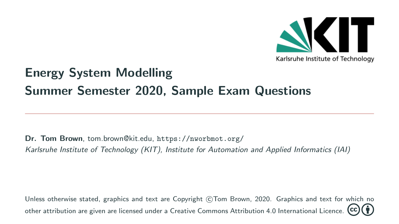

## Energy System Modelling Summer Semester 2020, Sample Exam Questions

Dr. Tom Brown, [tom.brown@kit.edu,](mailto:tom.brown@kit.edu) <https://nworbmot.org/> Karlsruhe Institute of Technology (KIT), Institute for Automation and Applied Informatics (IAI)

Unless otherwise stated, graphics and text are Copyright (C)Tom Brown, 2020. Graphics and text for which no other attribution are given are licensed under a [Creative Commons Attribution 4.0 International Licence.](https://creativecommons.org/licenses/by/4.0/)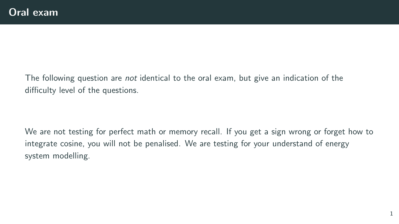The following question are *not* identical to the oral exam, but give an indication of the difficulty level of the questions.

We are not testing for perfect math or memory recall. If you get a sign wrong or forget how to integrate cosine, you will not be penalised. We are testing for your understand of energy system modelling.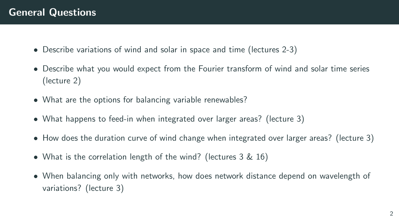- Describe variations of wind and solar in space and time (lectures 2-3)
- Describe what you would expect from the Fourier transform of wind and solar time series (lecture 2)
- What are the options for balancing variable renewables?
- What happens to feed-in when integrated over larger areas? (lecture 3)
- How does the duration curve of wind change when integrated over larger areas? (lecture 3)
- What is the correlation length of the wind? (lectures 3 & 16)
- When balancing only with networks, how does network distance depend on wavelength of variations? (lecture 3)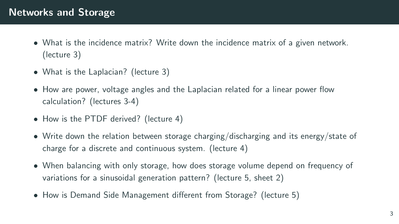## Networks and Storage

- What is the incidence matrix? Write down the incidence matrix of a given network. (lecture 3)
- What is the Laplacian? (lecture 3)
- How are power, voltage angles and the Laplacian related for a linear power flow calculation? (lectures 3-4)
- How is the PTDF derived? (lecture 4)
- Write down the relation between storage charging/discharging and its energy/state of charge for a discrete and continuous system. (lecture 4)
- When balancing with only storage, how does storage volume depend on frequency of variations for a sinusoidal generation pattern? (lecture 5, sheet 2)
- How is Demand Side Management different from Storage? (lecture 5)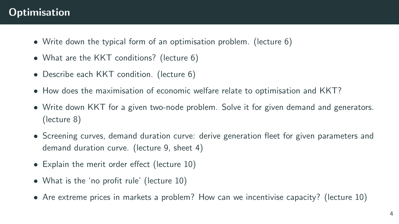## **Optimisation**

- Write down the typical form of an optimisation problem. (lecture 6)
- What are the KKT conditions? (lecture 6)
- Describe each KKT condition. (lecture 6)
- How does the maximisation of economic welfare relate to optimisation and KKT?
- Write down KKT for a given two-node problem. Solve it for given demand and generators. (lecture 8)
- Screening curves, demand duration curve: derive generation fleet for given parameters and demand duration curve. (lecture 9, sheet 4)
- Explain the merit order effect (lecture 10)
- What is the 'no profit rule' (lecture 10)
- Are extreme prices in markets a problem? How can we incentivise capacity? (lecture 10)